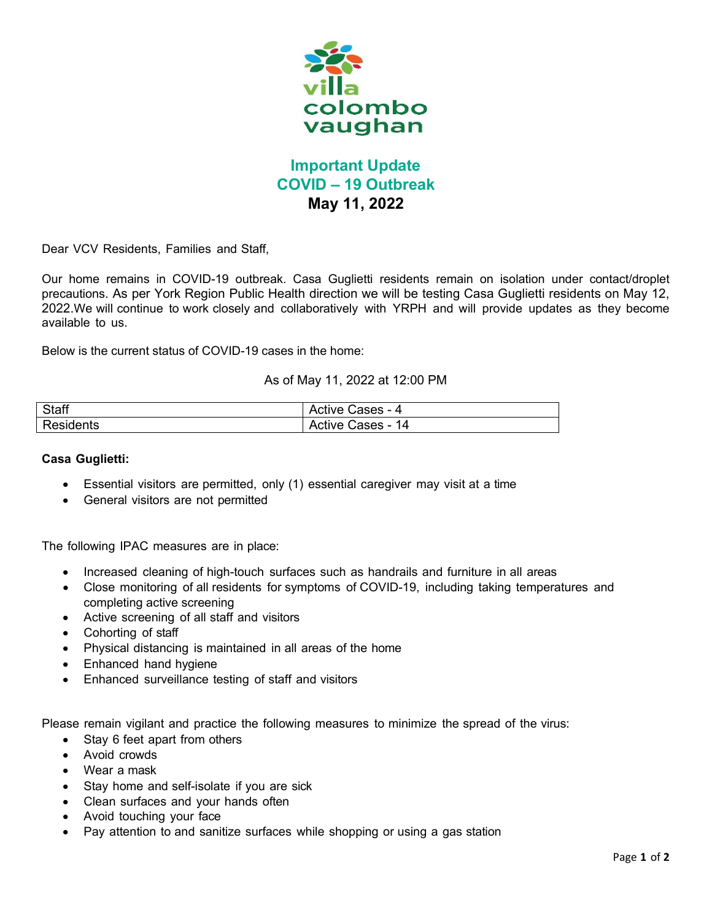

## **Important Update COVID – 19 Outbreak May 11, 2022**

Dear VCV Residents, Families and Staff,

Our home remains in COVID-19 outbreak. Casa Guglietti residents remain on isolation under contact/droplet precautions. As per York Region Public Health direction we will be testing Casa Guglietti residents on May 12, 2022.We will continue to work closely and collaboratively with YRPH and will provide updates as they become available to us.

Below is the current status of COVID-19 cases in the home:

## As of May 11, 2022 at 12:00 PM

| Staff     | Active Cases - 4         |
|-----------|--------------------------|
| Residents | <b>Active Cases - 14</b> |

## **Casa Guglietti:**

- Essential visitors are permitted, only (1) essential caregiver may visit at a time
- General visitors are not permitted

The following IPAC measures are in place:

- Increased cleaning of high-touch surfaces such as handrails and furniture in all areas
- Close monitoring of all residents for symptoms of COVID-19, including taking temperatures and completing active screening
- Active screening of all staff and visitors
- Cohorting of staff
- Physical distancing is maintained in all areas of the home
- Enhanced hand hygiene
- Enhanced surveillance testing of staff and visitors

Please remain vigilant and practice the following measures to minimize the spread of the virus:

- Stay 6 feet apart from others
- Avoid crowds
- Wear a mask
- Stay home and self-isolate if you are sick
- Clean surfaces and your hands often
- Avoid touching your face
- Pay attention to and sanitize surfaces while shopping or using a gas station